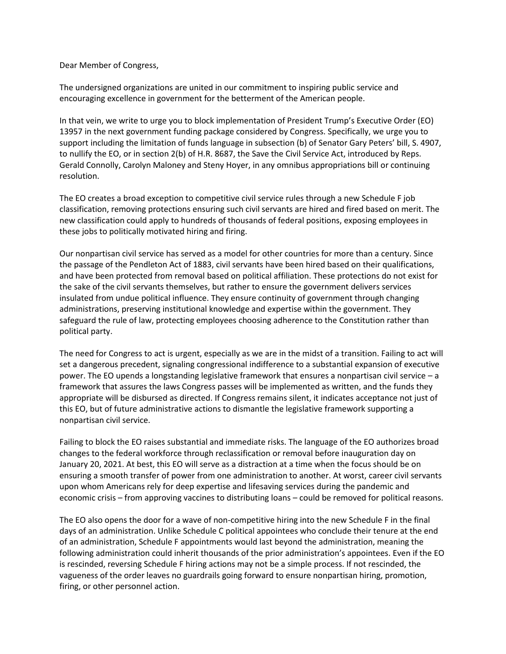Dear Member of Congress,

The undersigned organizations are united in our commitment to inspiring public service and encouraging excellence in government for the betterment of the American people.

In that vein, we write to urge you to block implementation of President Trump's Executive Order (EO) 13957 in the next government funding package considered by Congress. Specifically, we urge you to support including the limitation of funds language in subsection (b) of Senator Gary Peters' bill, S. 4907, to nullify the EO, or in section 2(b) of H.R. 8687, the Save the Civil Service Act, introduced by Reps. Gerald Connolly, Carolyn Maloney and Steny Hoyer, in any omnibus appropriations bill or continuing resolution.

The EO creates a broad exception to competitive civil service rules through a new Schedule F job classification, removing protections ensuring such civil servants are hired and fired based on merit. The new classification could apply to hundreds of thousands of federal positions, exposing employees in these jobs to politically motivated hiring and firing.

Our nonpartisan civil service has served as a model for other countries for more than a century. Since the passage of the Pendleton Act of 1883, civil servants have been hired based on their qualifications, and have been protected from removal based on political affiliation. These protections do not exist for the sake of the civil servants themselves, but rather to ensure the government delivers services insulated from undue political influence. They ensure continuity of government through changing administrations, preserving institutional knowledge and expertise within the government. They safeguard the rule of law, protecting employees choosing adherence to the Constitution rather than political party.

The need for Congress to act is urgent, especially as we are in the midst of a transition. Failing to act will set a dangerous precedent, signaling congressional indifference to a substantial expansion of executive power. The EO upends a longstanding legislative framework that ensures a nonpartisan civil service – a framework that assures the laws Congress passes will be implemented as written, and the funds they appropriate will be disbursed as directed. If Congress remains silent, it indicates acceptance not just of this EO, but of future administrative actions to dismantle the legislative framework supporting a nonpartisan civil service.

Failing to block the EO raises substantial and immediate risks. The language of the EO authorizes broad changes to the federal workforce through reclassification or removal before inauguration day on January 20, 2021. At best, this EO will serve as a distraction at a time when the focus should be on ensuring a smooth transfer of power from one administration to another. At worst, career civil servants upon whom Americans rely for deep expertise and lifesaving services during the pandemic and economic crisis – from approving vaccines to distributing loans – could be removed for political reasons.

The EO also opens the door for a wave of non-competitive hiring into the new Schedule F in the final days of an administration. Unlike Schedule C political appointees who conclude their tenure at the end of an administration, Schedule F appointments would last beyond the administration, meaning the following administration could inherit thousands of the prior administration's appointees. Even if the EO is rescinded, reversing Schedule F hiring actions may not be a simple process. If not rescinded, the vagueness of the order leaves no guardrails going forward to ensure nonpartisan hiring, promotion, firing, or other personnel action.